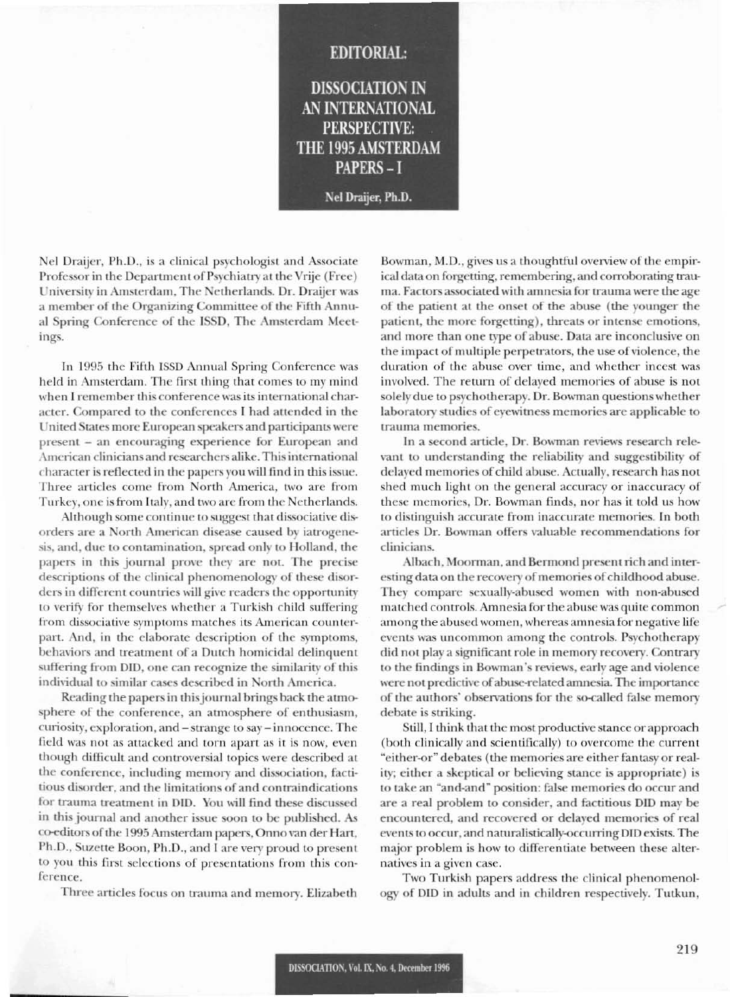## **EDITORIAL: DISSOCIATION IN** AN INTERNATIONAL **PERSPECTIVE:** THE 1995 AMSTERDAM **PAPERS-I** Nel Draijer, Ph.D.

Nel Draijer, Ph.D., is a clinical psychologist and Associate Professor in the Department of Psychiatry at the Vrije (Free) University in Amsterdam, The Netherlands. Dr. Draijer was a member of the Organizing Committee of the Fifth Annual Spring Conference of the ISSD, The Amsterdam Meetings.

In 1995 the Fifth ISSD Annual Spring Conference was held in Amsterdam. The first thing that comes to my mind when I remember this conference was its international character. Compared to the conferences I had attended in the United States more European speakers and participants were present – an encouraging experience for European and American clinicians and researchers alike. This international character is reflected in the papers you will find in this issue. Three articles come from North America, two are from Turkey, one is from Italy, and two are from the Netherlands.

Although some continue to suggest that dissociative disorders are a North American disease caused by iatrogenesis, and, due to contamination, spread only to Holland, the papers in this journal prove they are not. The precise descriptions of the clinical phenomenology of these disorders in different countries will give readers the opportunity to verify for themselves whether a Turkish child suffering from dissociative symptoms matches its American counterpart. And, in the elaborate description of the symptoms, behaviors and treatment of a Dutch homicidal delinquent suffering from DID, one can recognize the similarity of this individual to similar cases described in North America.

Reading the papers in this journal brings back the atmosphere of the conference, an atmosphere of enthusiasm, curiosity, exploration, and – strange to say – innocence. The field was not as attacked and torn apart as it is now, even though difficult and controversial topics were described at the conference, including memory and dissociation, factitious disorder, and the limitations of and contraindications for trauma treatment in DID. You will find these discussed in this journal and another issue soon to be published. As co-editors of the 1995 Amsterdam papers, Onno van der Hart, Ph.D., Suzette Boon, Ph.D., and I are very proud to present to you this first selections of presentations from this conference.

Three articles focus on trauma and memory. Elizabeth

Bowman, M.D., gives us a thoughtful overview of the empirical data on forgetting, remembering, and corroborating trauma. Factors associated with amnesia for trauma were the age of the patient at the onset of the abuse (the younger the patient, the more forgetting), threats or intense emotions, and more than one type of abuse. Data are inconclusive on the impact of multiple perpetrators, the use of violence, the duration of the abuse over time, and whether incest was involved. The return of delayed memories of abuse is not solely due to psychotherapy. Dr. Bowman questions whether laboratory studies of eyewitness memories are applicable to trauma memories.

In a second article, Dr. Bowman reviews research relevant to understanding the reliability and suggestibility of delayed memories of child abuse. Actually, research has not shed much light on the general accuracy or inaccuracy of these memories, Dr. Bowman finds, nor has it told us how to distinguish accurate from inaccurate memories. In both articles Dr. Bowman offers valuable recommendations for clinicians.

Albach, Moorman, and Bermond present rich and interesting data on the recovery of memories of childhood abuse. They compare sexually-abused women with non-abused matched controls. Amnesia for the abuse was quite common among the abused women, whereas amnesia for negative life events was uncommon among the controls. Psychotherapy did not play a significant role in memory recovery. Contrary to the findings in Bowman's reviews, early age and violence were not predictive of abuse-related amnesia. The importance of the authors' observations for the so-called false memory debate is striking.

Still, I think that the most productive stance or approach (both clinically and scientifically) to overcome the current "either-or" debates (the memories are either fantasy or reality; either a skeptical or believing stance is appropriate) is to take an "and-and" position: false memories do occur and are a real problem to consider, and factitious DID may be encountered, and recovered or delayed memories of real events to occur, and naturalistically-occurring DID exists. The major problem is how to differentiate between these alternatives in a given case.

Two Turkish papers address the clinical phenomenology of DID in adults and in children respectively. Tutkun,